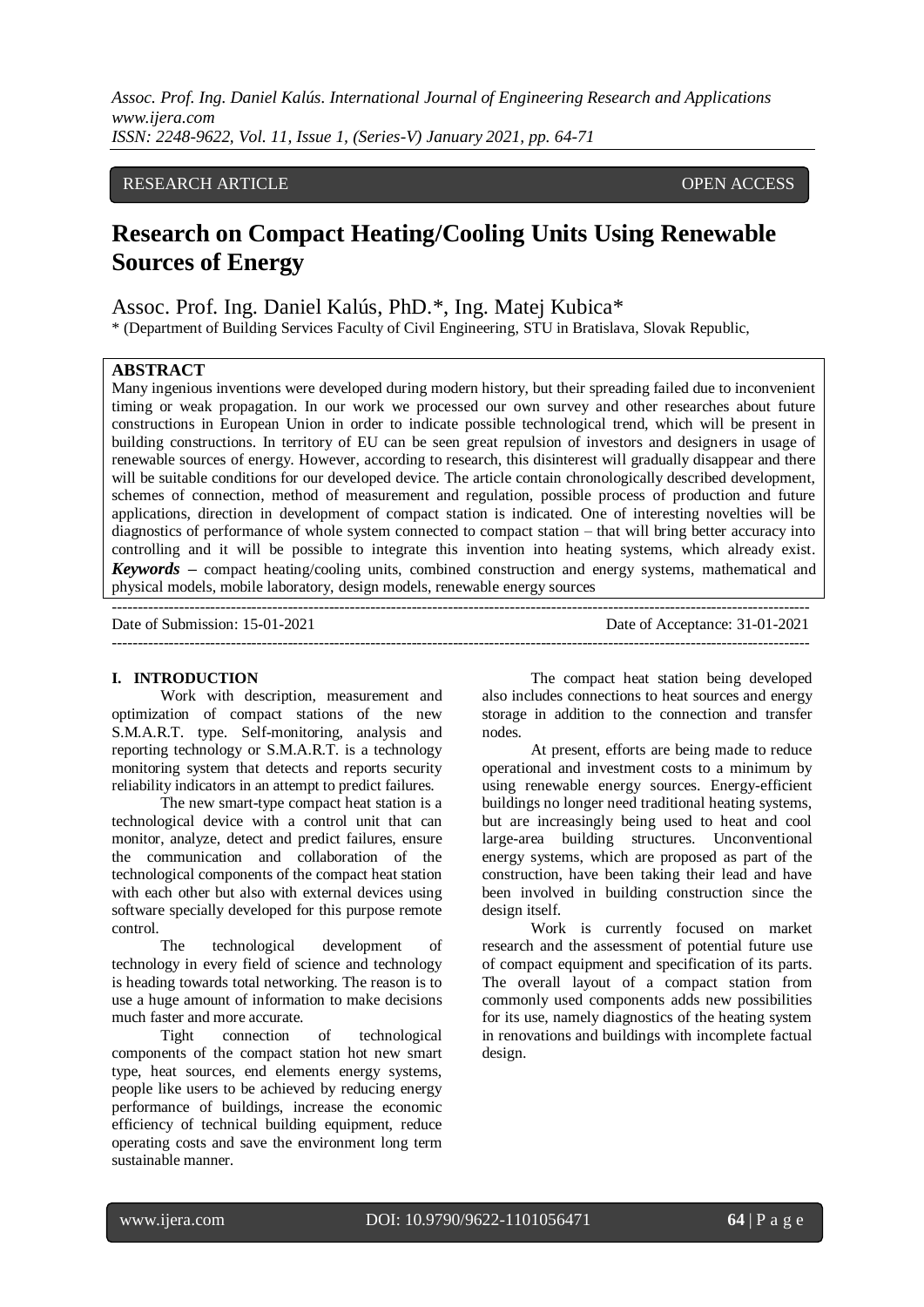# RESEARCH ARTICLE **CONSERVERS** OPEN ACCESS

# **Research on Compact Heating/Cooling Units Using Renewable Sources of Energy**

Assoc. Prof. Ing. Daniel Kalús, PhD.\*, Ing. Matej Kubica\*

\* (Department of Building Services Faculty of Civil Engineering, STU in Bratislava, Slovak Republic,

# **ABSTRACT**

Many ingenious inventions were developed during modern history, but their spreading failed due to inconvenient timing or weak propagation. In our work we processed our own survey and other researches about future constructions in European Union in order to indicate possible technological trend, which will be present in building constructions. In territory of EU can be seen great repulsion of investors and designers in usage of renewable sources of energy. However, according to research, this disinterest will gradually disappear and there will be suitable conditions for our developed device. The article contain chronologically described development, schemes of connection, method of measurement and regulation, possible process of production and future applications, direction in development of compact station is indicated. One of interesting novelties will be diagnostics of performance of whole system connected to compact station – that will bring better accuracy into controlling and it will be possible to integrate this invention into heating systems, which already exist. *Keywords* **–** compact heating/cooling units, combined construction and energy systems, mathematical and physical models, mobile laboratory, design models, renewable energy sources

--------------------------------------------------------------------------------------------------------------------------------------- Date of Submission: 15-01-2021 Date of Acceptance: 31-01-2021 ---------------------------------------------------------------------------------------------------------------------------------------

#### **I. INTRODUCTION**

Work with description, measurement and optimization of compact stations of the new S.M.A.R.T. type. Self-monitoring, analysis and reporting technology or S.M.A.R.T. is a technology monitoring system that detects and reports security reliability indicators in an attempt to predict failures.

The new smart-type compact heat station is a technological device with a control unit that can monitor, analyze, detect and predict failures, ensure the communication and collaboration of the technological components of the compact heat station with each other but also with external devices using software specially developed for this purpose remote control.

The technological development of technology in every field of science and technology is heading towards total networking. The reason is to use a huge amount of information to make decisions much faster and more accurate.

Tight connection of technological components of the compact station hot new smart type, heat sources, end elements energy systems, people like users to be achieved by reducing energy performance of buildings, increase the economic efficiency of technical building equipment, reduce operating costs and save the environment long term sustainable manner.

The compact heat station being developed also includes connections to heat sources and energy storage in addition to the connection and transfer nodes.

At present, efforts are being made to reduce operational and investment costs to a minimum by using renewable energy sources. Energy-efficient buildings no longer need traditional heating systems, but are increasingly being used to heat and cool large-area building structures. Unconventional energy systems, which are proposed as part of the construction, have been taking their lead and have been involved in building construction since the design itself.

Work is currently focused on market research and the assessment of potential future use of compact equipment and specification of its parts. The overall layout of a compact station from commonly used components adds new possibilities for its use, namely diagnostics of the heating system in renovations and buildings with incomplete factual design.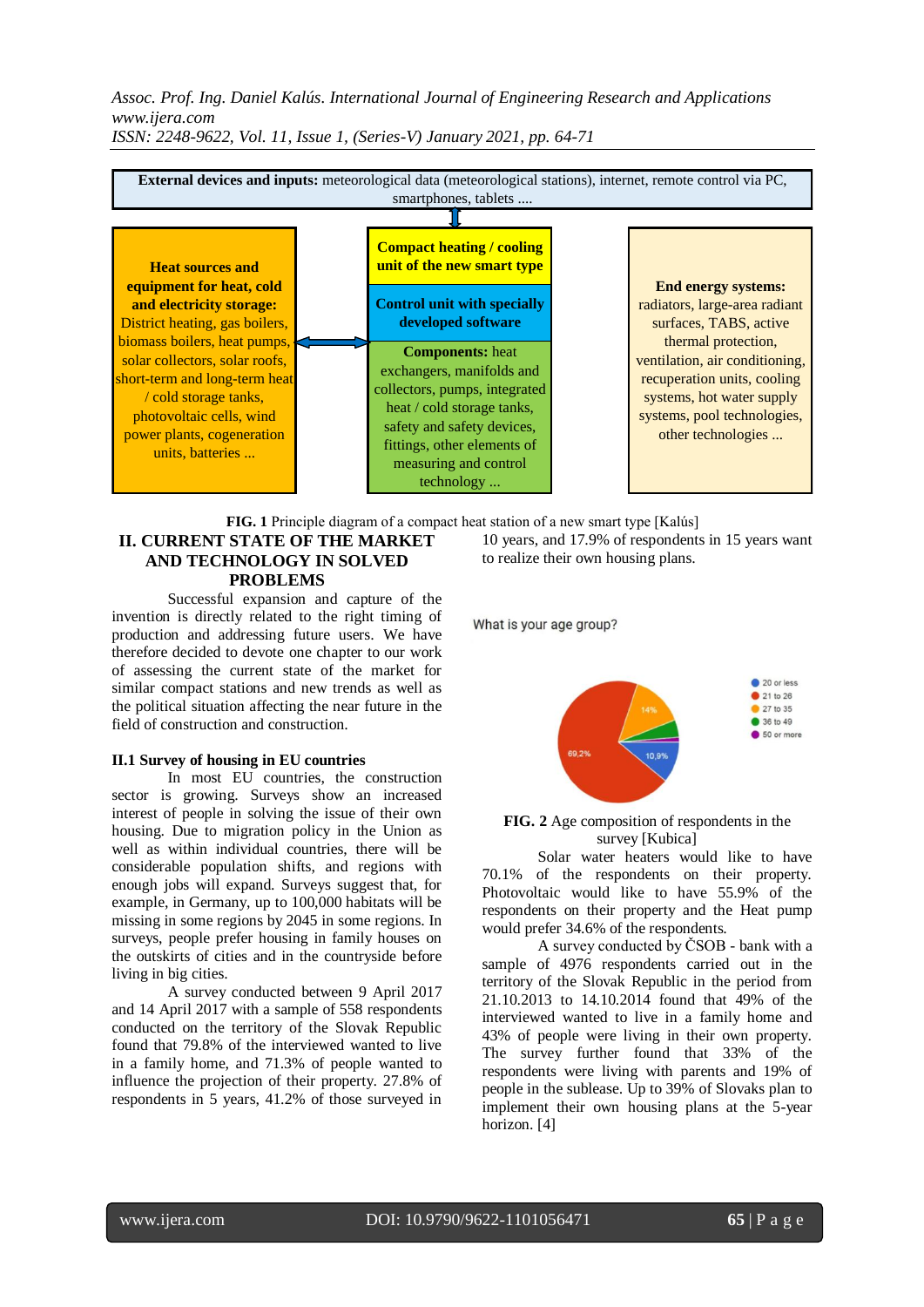

**FIG. 1** Principle diagram of a compact heat station of a new smart type [Kalús]

# **II. CURRENT STATE OF THE MARKET AND TECHNOLOGY IN SOLVED PROBLEMS**

Successful expansion and capture of the invention is directly related to the right timing of production and addressing future users. We have therefore decided to devote one chapter to our work of assessing the current state of the market for similar compact stations and new trends as well as the political situation affecting the near future in the field of construction and construction.

# **II.1 Survey of housing in EU countries**

In most EU countries, the construction sector is growing. Surveys show an increased interest of people in solving the issue of their own housing. Due to migration policy in the Union as well as within individual countries, there will be considerable population shifts, and regions with enough jobs will expand. Surveys suggest that, for example, in Germany, up to 100,000 habitats will be missing in some regions by 2045 in some regions. In surveys, people prefer housing in family houses on the outskirts of cities and in the countryside before living in big cities.

A survey conducted between 9 April 2017 and 14 April 2017 with a sample of 558 respondents conducted on the territory of the Slovak Republic found that 79.8% of the interviewed wanted to live in a family home, and 71.3% of people wanted to influence the projection of their property. 27.8% of respondents in 5 years, 41.2% of those surveyed in

10 years, and 17.9% of respondents in 15 years want to realize their own housing plans.

What is your age group?



**FIG. 2** Age composition of respondents in the survey [Kubica]

Solar water heaters would like to have 70.1% of the respondents on their property. Photovoltaic would like to have 55.9% of the respondents on their property and the Heat pump would prefer 34.6% of the respondents.

A survey conducted by ČSOB - bank with a sample of 4976 respondents carried out in the territory of the Slovak Republic in the period from 21.10.2013 to 14.10.2014 found that 49% of the interviewed wanted to live in a family home and 43% of people were living in their own property. The survey further found that 33% of the respondents were living with parents and 19% of people in the sublease. Up to 39% of Slovaks plan to implement their own housing plans at the 5-year horizon. [4]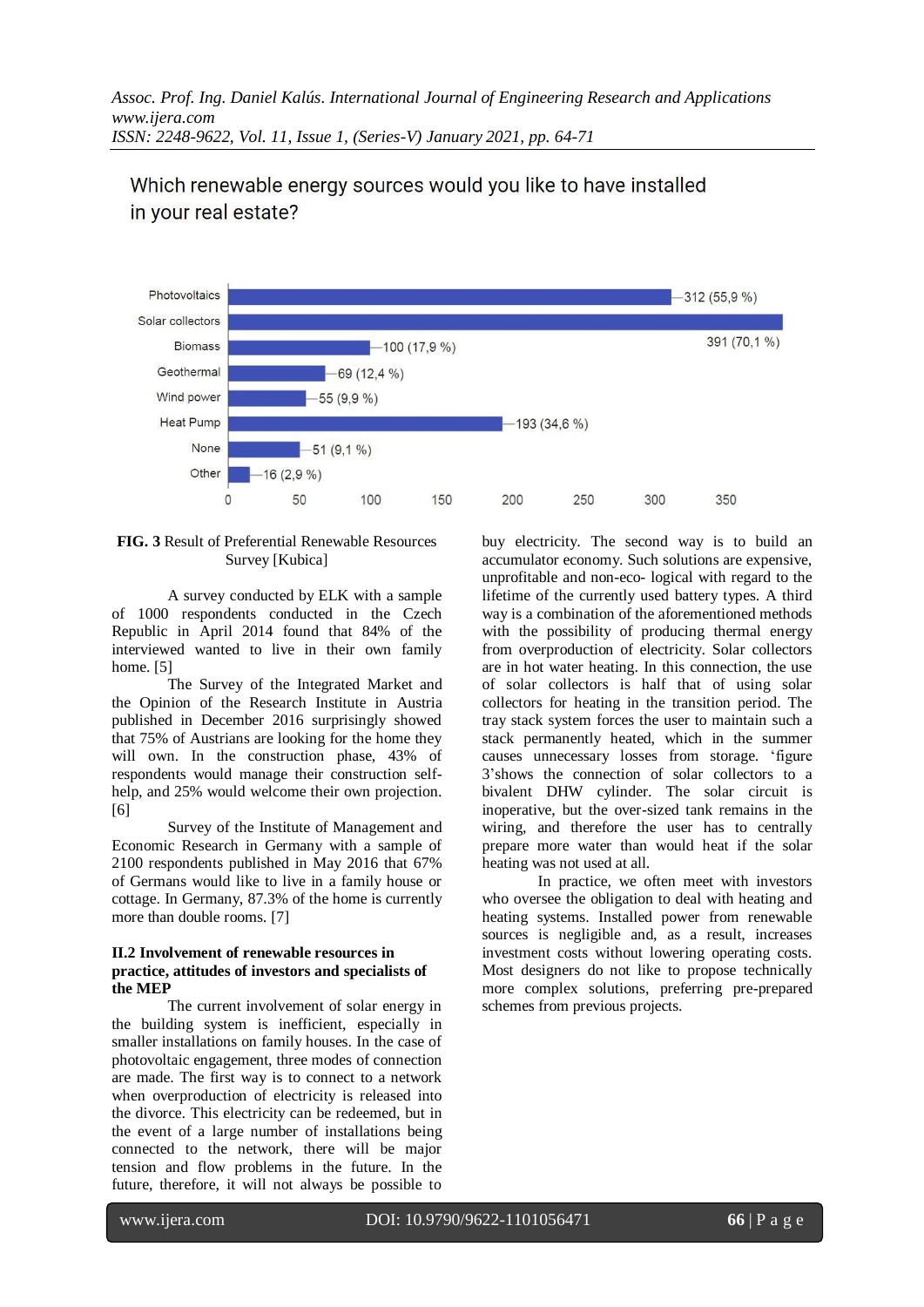

# Which renewable energy sources would you like to have installed in your real estate?

# **FIG. 3** Result of Preferential Renewable Resources Survey [Kubica]

A survey conducted by ELK with a sample of 1000 respondents conducted in the Czech Republic in April 2014 found that 84% of the interviewed wanted to live in their own family home. [5]

The Survey of the Integrated Market and the Opinion of the Research Institute in Austria published in December 2016 surprisingly showed that 75% of Austrians are looking for the home they will own. In the construction phase, 43% of respondents would manage their construction selfhelp, and 25% would welcome their own projection. [6]

Survey of the Institute of Management and Economic Research in Germany with a sample of 2100 respondents published in May 2016 that 67% of Germans would like to live in a family house or cottage. In Germany, 87.3% of the home is currently more than double rooms. [7]

## **II.2 Involvement of renewable resources in practice, attitudes of investors and specialists of the MEP**

 The current involvement of solar energy in the building system is inefficient, especially in smaller installations on family houses. In the case of photovoltaic engagement, three modes of connection are made. The first way is to connect to a network when overproduction of electricity is released into the divorce. This electricity can be redeemed, but in the event of a large number of installations being connected to the network, there will be major tension and flow problems in the future. In the future, therefore, it will not always be possible to

buy electricity. The second way is to build an accumulator economy. Such solutions are expensive, unprofitable and non-eco- logical with regard to the lifetime of the currently used battery types. A third way is a combination of the aforementioned methods with the possibility of producing thermal energy from overproduction of electricity. Solar collectors are in hot water heating. In this connection, the use of solar collectors is half that of using solar collectors for heating in the transition period. The tray stack system forces the user to maintain such a stack permanently heated, which in the summer causes unnecessary losses from storage. 'figure 3'shows the connection of solar collectors to a bivalent DHW cylinder. The solar circuit is inoperative, but the over-sized tank remains in the wiring, and therefore the user has to centrally prepare more water than would heat if the solar heating was not used at all.

In practice, we often meet with investors who oversee the obligation to deal with heating and heating systems. Installed power from renewable sources is negligible and, as a result, increases investment costs without lowering operating costs. Most designers do not like to propose technically more complex solutions, preferring pre-prepared schemes from previous projects.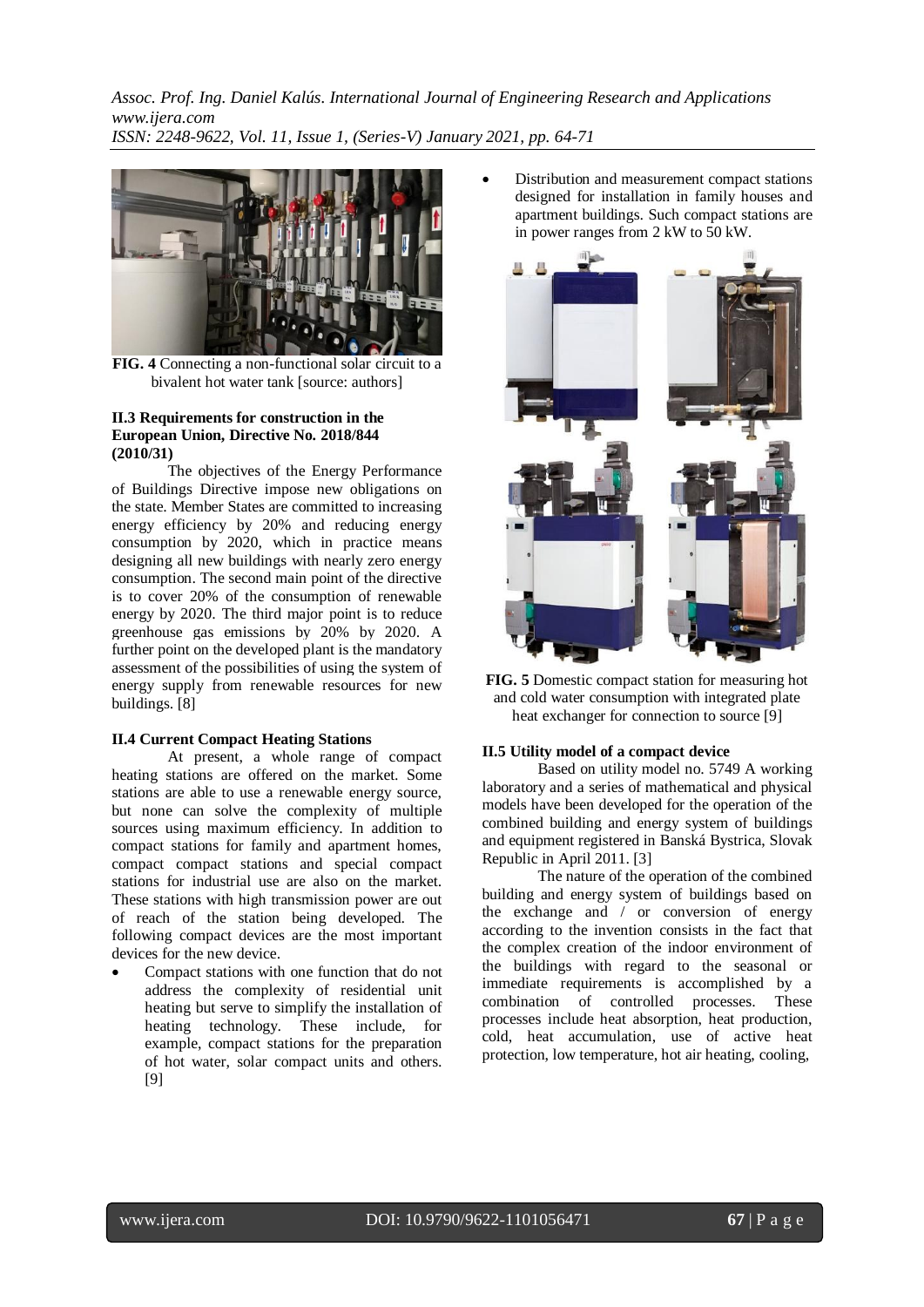

**FIG. 4** Connecting a non-functional solar circuit to a bivalent hot water tank [source: authors]

#### **II.3 Requirements for construction in the European Union, Directive No. 2018/844 (2010/31)**

 The objectives of the Energy Performance of Buildings Directive impose new obligations on the state. Member States are committed to increasing energy efficiency by 20% and reducing energy consumption by 2020, which in practice means designing all new buildings with nearly zero energy consumption. The second main point of the directive is to cover 20% of the consumption of renewable energy by 2020. The third major point is to reduce greenhouse gas emissions by 20% by 2020. A further point on the developed plant is the mandatory assessment of the possibilities of using the system of energy supply from renewable resources for new buildings. [8]

# **II.4 Current Compact Heating Stations**

 At present, a whole range of compact heating stations are offered on the market. Some stations are able to use a renewable energy source, but none can solve the complexity of multiple sources using maximum efficiency. In addition to compact stations for family and apartment homes, compact compact stations and special compact stations for industrial use are also on the market. These stations with high transmission power are out of reach of the station being developed. The following compact devices are the most important devices for the new device.

 Compact stations with one function that do not address the complexity of residential unit heating but serve to simplify the installation of heating technology. These include, for example, compact stations for the preparation of hot water, solar compact units and others. [9]

 Distribution and measurement compact stations designed for installation in family houses and apartment buildings. Such compact stations are in power ranges from 2 kW to 50 kW.





#### **II.5 Utility model of a compact device**

 Based on utility model no. 5749 A working laboratory and a series of mathematical and physical models have been developed for the operation of the combined building and energy system of buildings and equipment registered in Banská Bystrica, Slovak Republic in April 2011. [3]

 The nature of the operation of the combined building and energy system of buildings based on the exchange and / or conversion of energy according to the invention consists in the fact that the complex creation of the indoor environment of the buildings with regard to the seasonal or immediate requirements is accomplished by a combination of controlled processes. These processes include heat absorption, heat production, cold, heat accumulation, use of active heat protection, low temperature, hot air heating, cooling,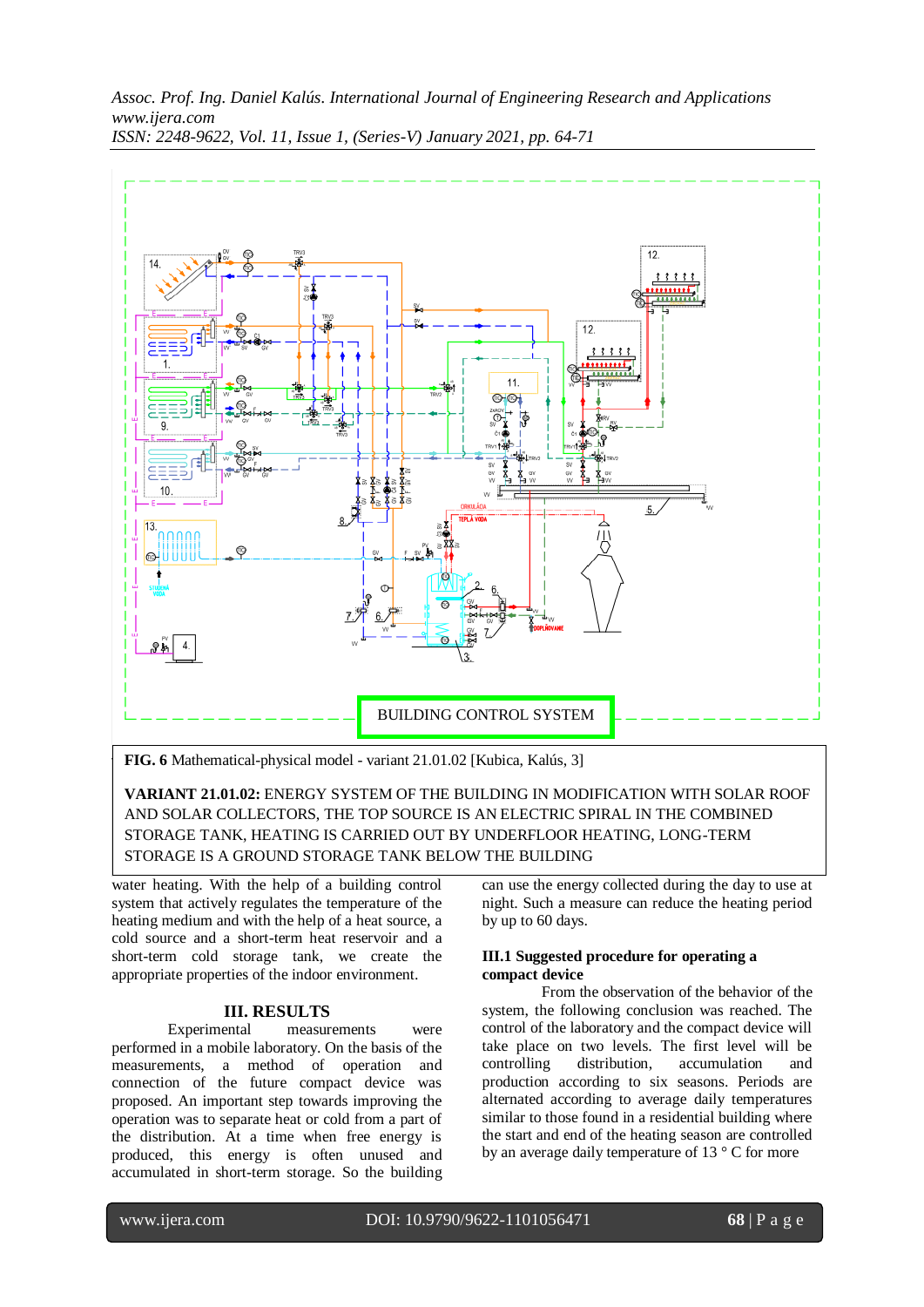

**FIG. 6** Mathematical-physical model - variant 21.01.02 [Kubica, Kalús, 3]

**VARIANT 21.01.02:** ENERGY SYSTEM OF THE BUILDING IN MODIFICATION WITH SOLAR ROOF AND SOLAR COLLECTORS, THE TOP SOURCE IS AN ELECTRIC SPIRAL IN THE COMBINED STORAGE TANK, HEATING IS CARRIED OUT BY UNDERFLOOR HEATING, LONG-TERM STORAGE IS A GROUND STORAGE TANK BELOW THE BUILDING

water heating. With the help of a building control system that actively regulates the temperature of the heating medium and with the help of a heat source, a cold source and a short-term heat reservoir and a short-term cold storage tank, we create the appropriate properties of the indoor environment.

# **III. RESULTS**

Experimental measurements were performed in a mobile laboratory. On the basis of the measurements, a method of operation and connection of the future compact device was proposed. An important step towards improving the operation was to separate heat or cold from a part of the distribution. At a time when free energy is produced, this energy is often unused and accumulated in short-term storage. So the building can use the energy collected during the day to use at night. Such a measure can reduce the heating period by up to 60 days.

#### **III.1 Suggested procedure for operating a compact device**

 From the observation of the behavior of the system, the following conclusion was reached. The control of the laboratory and the compact device will take place on two levels. The first level will be controlling distribution, accumulation and production according to six seasons. Periods are alternated according to average daily temperatures similar to those found in a residential building where the start and end of the heating season are controlled by an average daily temperature of 13 ° C for more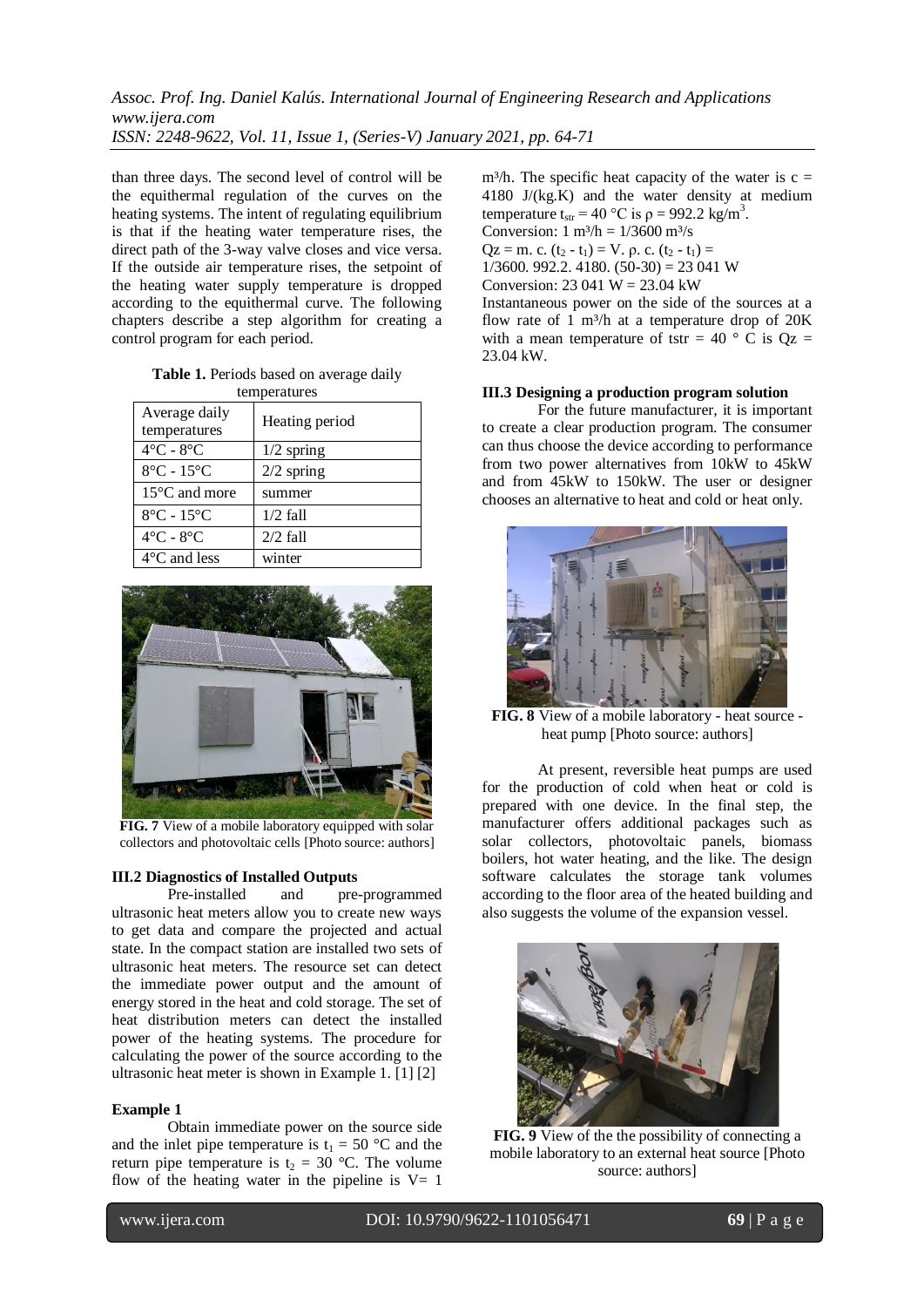than three days. The second level of control will be the equithermal regulation of the curves on the heating systems. The intent of regulating equilibrium is that if the heating water temperature rises, the direct path of the 3-way valve closes and vice versa. If the outside air temperature rises, the setpoint of the heating water supply temperature is dropped according to the equithermal curve. The following chapters describe a step algorithm for creating a control program for each period.

**Table 1.** Periods based on average daily temperatures

| $\frac{1}{2}$                   |                |
|---------------------------------|----------------|
| Average daily<br>temperatures   | Heating period |
| $4^{\circ}$ C - $8^{\circ}$ C   | $1/2$ spring   |
| $8^{\circ}$ C - 15 $^{\circ}$ C | $2/2$ spring   |
| 15°C and more                   | summer         |
| $8^{\circ}$ C - 15 $^{\circ}$ C | $1/2$ fall     |
| $4^{\circ}$ C - $8^{\circ}$ C   | $2/2$ fall     |
| $4^{\circ}$ C and less          | winter         |



**FIG. 7** View of a mobile laboratory equipped with solar collectors and photovoltaic cells [Photo source: authors]

# **III.2 Diagnostics of Installed Outputs**

 Pre-installed and pre-programmed ultrasonic heat meters allow you to create new ways to get data and compare the projected and actual state. In the compact station are installed two sets of ultrasonic heat meters. The resource set can detect the immediate power output and the amount of energy stored in the heat and cold storage. The set of heat distribution meters can detect the installed power of the heating systems. The procedure for calculating the power of the source according to the ultrasonic heat meter is shown in Example 1. [1] [2]

#### **Example 1**

Obtain immediate power on the source side and the inlet pipe temperature is  $t_1 = 50$  °C and the return pipe temperature is  $t_2 = 30$  °C. The volume flow of the heating water in the pipeline is  $V= 1$ 

m<sup>3</sup>/h. The specific heat capacity of the water is  $c =$ 4180 J/(kg.K) and the water density at medium temperature t<sub>str</sub> = 40 °C is  $\rho$  = 992.2 kg/m<sup>3</sup>. Conversion:  $1 \text{ m}^3/\text{h} = 1/3600 \text{ m}^3/\text{s}$ Qz = m. c.  $(t_2 - t_1) = V$ . ρ. c.  $(t_2 - t_1) =$  $1/3600$ , 992.2, 4180,  $(50-30) = 23.041$  W Conversion:  $23.041 \text{ W} = 23.04 \text{ kW}$ Instantaneous power on the side of the sources at a flow rate of  $1 \text{ m}^3$ /h at a temperature drop of  $20\text{K}$ with a mean temperature of tstr = 40  $\degree$  C is Oz = 23.04 kW.

#### **III.3 Designing a production program solution**

 For the future manufacturer, it is important to create a clear production program. The consumer can thus choose the device according to performance from two power alternatives from 10kW to 45kW and from 45kW to 150kW. The user or designer chooses an alternative to heat and cold or heat only.



**FIG. 8** View of a mobile laboratory - heat source heat pump [Photo source: authors]

At present, reversible heat pumps are used for the production of cold when heat or cold is prepared with one device. In the final step, the manufacturer offers additional packages such as solar collectors, photovoltaic panels, biomass boilers, hot water heating, and the like. The design software calculates the storage tank volumes according to the floor area of the heated building and also suggests the volume of the expansion vessel.



**FIG. 9** View of the the possibility of connecting a mobile laboratory to an external heat source [Photo source: authors]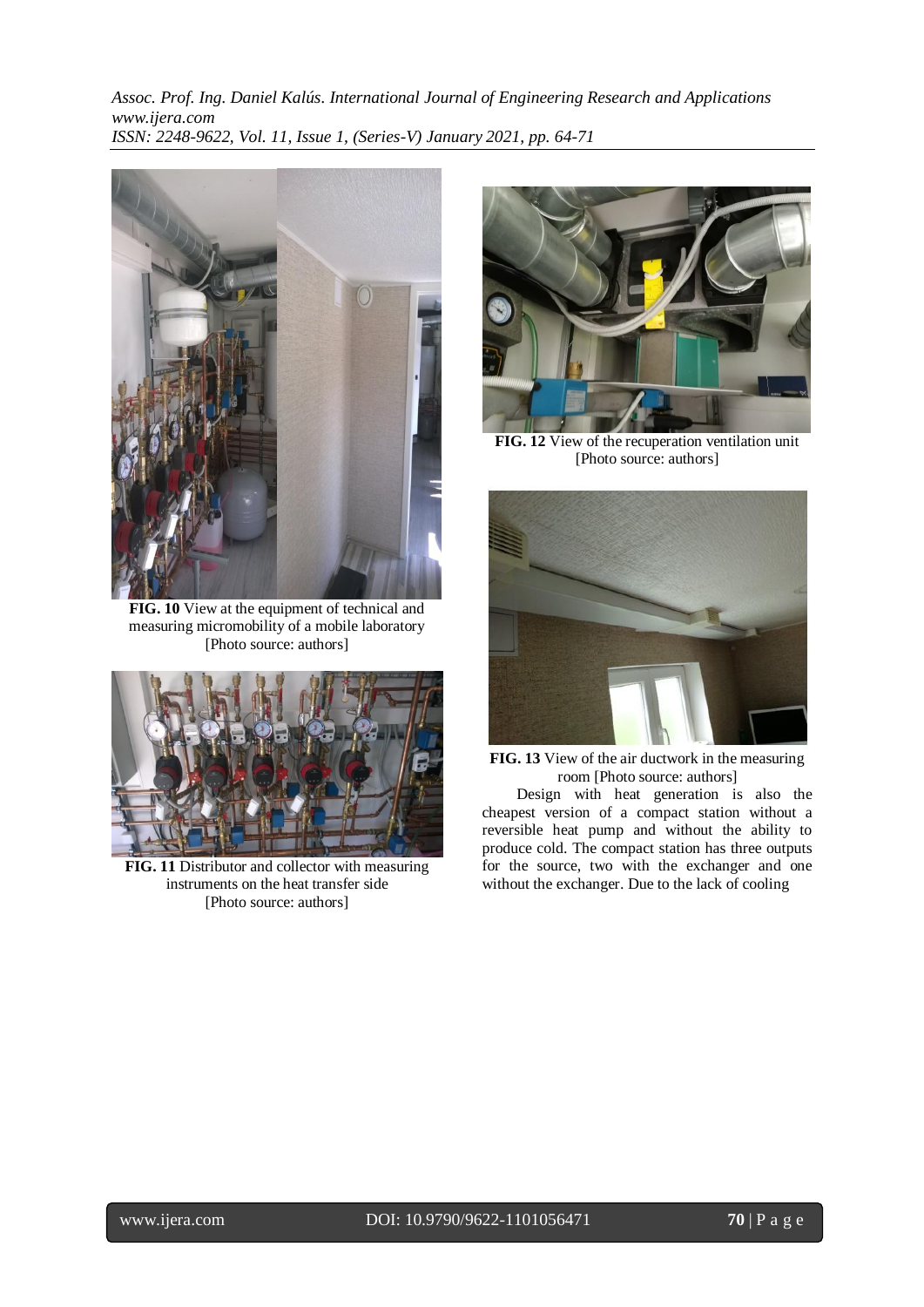

**FIG. 10** View at the equipment of technical and measuring micromobility of a mobile laboratory [Photo source: authors]



**FIG. 11** Distributor and collector with measuring instruments on the heat transfer side [Photo source: authors]



**FIG. 12** View of the recuperation ventilation unit [Photo source: authors]



**FIG. 13** View of the air ductwork in the measuring room [Photo source: authors]

 Design with heat generation is also the cheapest version of a compact station without a reversible heat pump and without the ability to produce cold. The compact station has three outputs for the source, two with the exchanger and one without the exchanger. Due to the lack of cooling